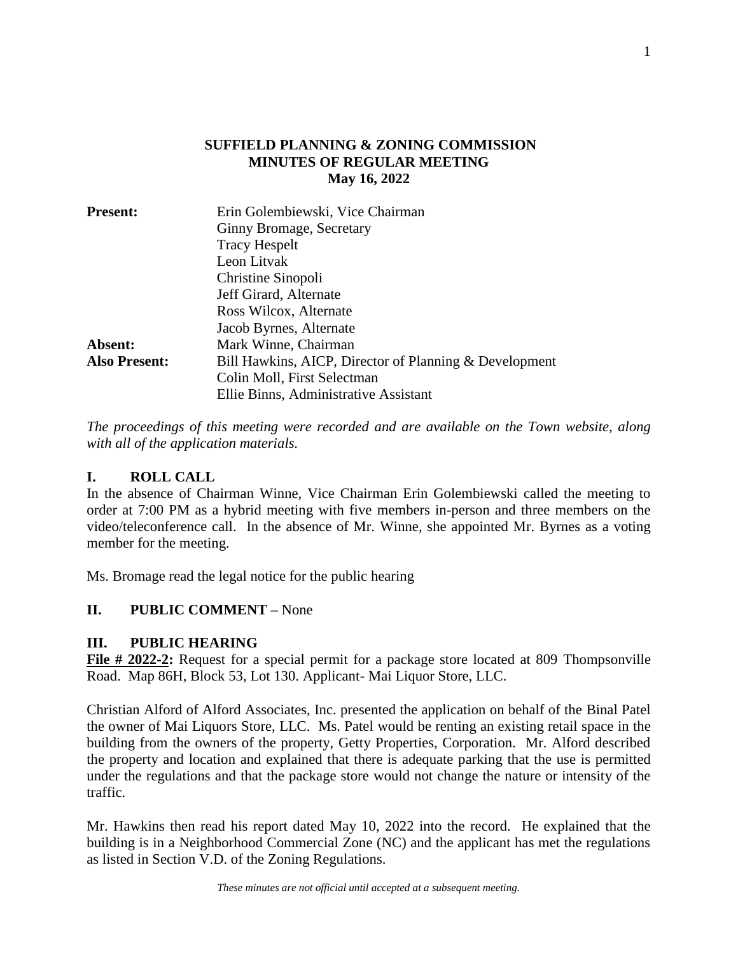## **SUFFIELD PLANNING & ZONING COMMISSION MINUTES OF REGULAR MEETING May 16, 2022**

| Erin Golembiewski, Vice Chairman                       |
|--------------------------------------------------------|
| Ginny Bromage, Secretary                               |
| <b>Tracy Hespelt</b><br>Leon Litvak                    |
|                                                        |
| Jeff Girard, Alternate                                 |
| Ross Wilcox, Alternate                                 |
| Jacob Byrnes, Alternate                                |
| Mark Winne, Chairman                                   |
| Bill Hawkins, AICP, Director of Planning & Development |
| Colin Moll, First Selectman                            |
| Ellie Binns, Administrative Assistant                  |
|                                                        |

*The proceedings of this meeting were recorded and are available on the Town website, along with all of the application materials.*

## **I. ROLL CALL**

In the absence of Chairman Winne, Vice Chairman Erin Golembiewski called the meeting to order at 7:00 PM as a hybrid meeting with five members in-person and three members on the video/teleconference call. In the absence of Mr. Winne, she appointed Mr. Byrnes as a voting member for the meeting.

Ms. Bromage read the legal notice for the public hearing

# **II. PUBLIC COMMENT –** None

## **III. PUBLIC HEARING**

**File # 2022-2:** Request for a special permit for a package store located at 809 Thompsonville Road. Map 86H, Block 53, Lot 130. Applicant- Mai Liquor Store, LLC.

Christian Alford of Alford Associates, Inc. presented the application on behalf of the Binal Patel the owner of Mai Liquors Store, LLC. Ms. Patel would be renting an existing retail space in the building from the owners of the property, Getty Properties, Corporation. Mr. Alford described the property and location and explained that there is adequate parking that the use is permitted under the regulations and that the package store would not change the nature or intensity of the traffic.

Mr. Hawkins then read his report dated May 10, 2022 into the record. He explained that the building is in a Neighborhood Commercial Zone (NC) and the applicant has met the regulations as listed in Section V.D. of the Zoning Regulations.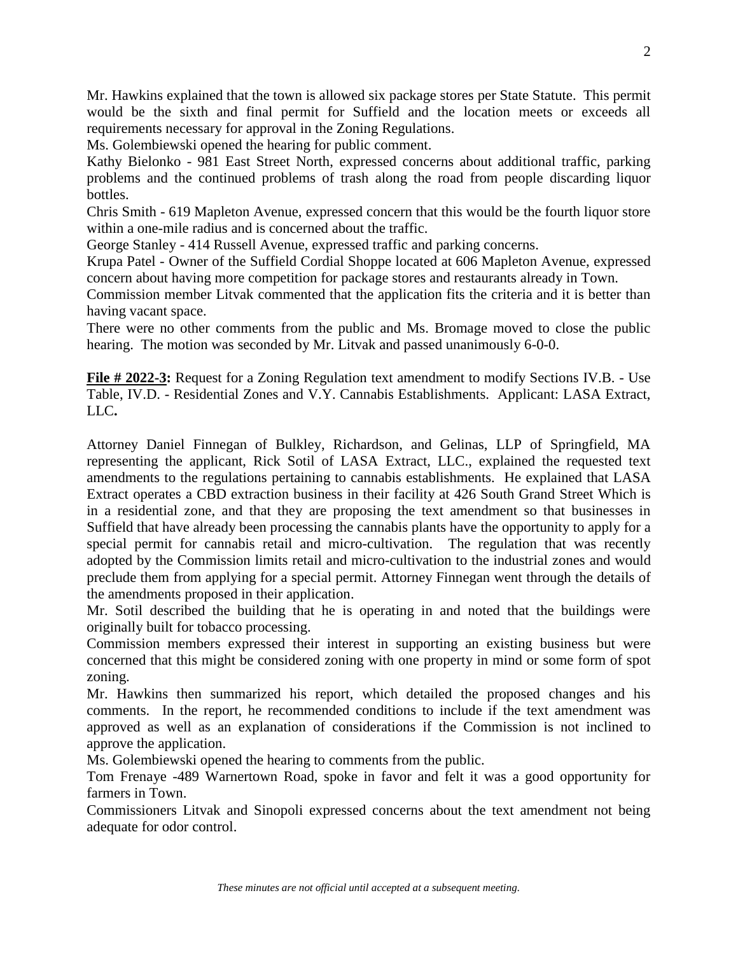Mr. Hawkins explained that the town is allowed six package stores per State Statute. This permit would be the sixth and final permit for Suffield and the location meets or exceeds all requirements necessary for approval in the Zoning Regulations.

Ms. Golembiewski opened the hearing for public comment.

Kathy Bielonko - 981 East Street North, expressed concerns about additional traffic, parking problems and the continued problems of trash along the road from people discarding liquor bottles.

Chris Smith - 619 Mapleton Avenue, expressed concern that this would be the fourth liquor store within a one-mile radius and is concerned about the traffic.

George Stanley - 414 Russell Avenue, expressed traffic and parking concerns.

Krupa Patel - Owner of the Suffield Cordial Shoppe located at 606 Mapleton Avenue, expressed concern about having more competition for package stores and restaurants already in Town.

Commission member Litvak commented that the application fits the criteria and it is better than having vacant space.

There were no other comments from the public and Ms. Bromage moved to close the public hearing. The motion was seconded by Mr. Litvak and passed unanimously 6-0-0.

**File # 2022-3:** Request for a Zoning Regulation text amendment to modify Sections IV.B. - Use Table, IV.D. - Residential Zones and V.Y. Cannabis Establishments. Applicant: LASA Extract, LLC**.**

Attorney Daniel Finnegan of Bulkley, Richardson, and Gelinas, LLP of Springfield, MA representing the applicant, Rick Sotil of LASA Extract, LLC., explained the requested text amendments to the regulations pertaining to cannabis establishments. He explained that LASA Extract operates a CBD extraction business in their facility at 426 South Grand Street Which is in a residential zone, and that they are proposing the text amendment so that businesses in Suffield that have already been processing the cannabis plants have the opportunity to apply for a special permit for cannabis retail and micro-cultivation. The regulation that was recently adopted by the Commission limits retail and micro-cultivation to the industrial zones and would preclude them from applying for a special permit. Attorney Finnegan went through the details of the amendments proposed in their application.

Mr. Sotil described the building that he is operating in and noted that the buildings were originally built for tobacco processing.

Commission members expressed their interest in supporting an existing business but were concerned that this might be considered zoning with one property in mind or some form of spot zoning.

Mr. Hawkins then summarized his report, which detailed the proposed changes and his comments. In the report, he recommended conditions to include if the text amendment was approved as well as an explanation of considerations if the Commission is not inclined to approve the application.

Ms. Golembiewski opened the hearing to comments from the public.

Tom Frenaye -489 Warnertown Road, spoke in favor and felt it was a good opportunity for farmers in Town.

Commissioners Litvak and Sinopoli expressed concerns about the text amendment not being adequate for odor control.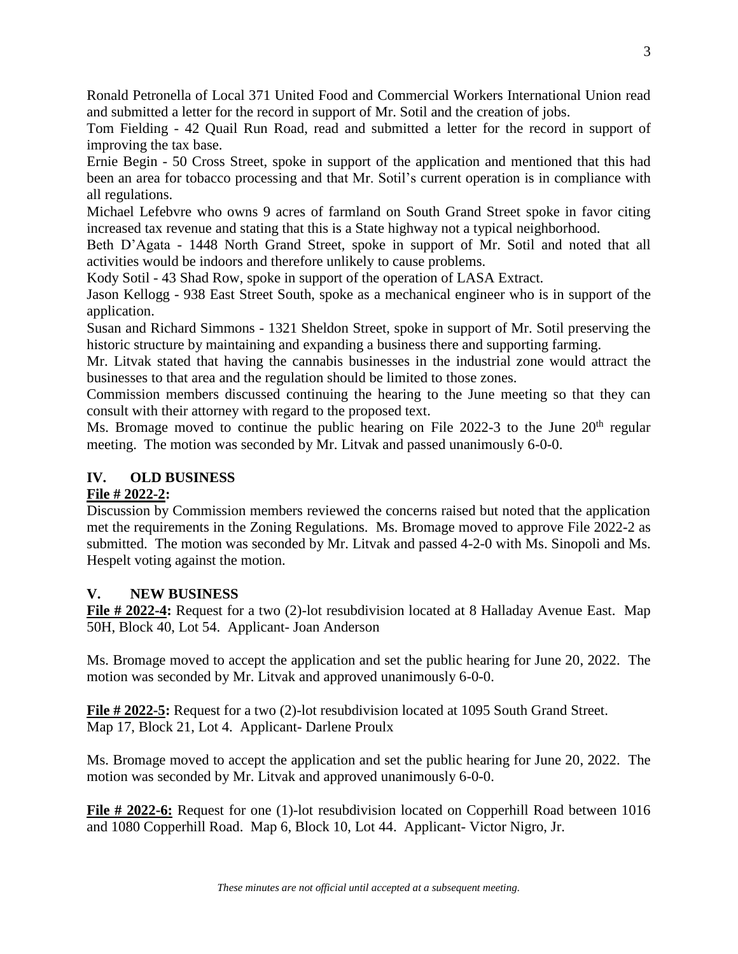Ronald Petronella of Local 371 United Food and Commercial Workers International Union read and submitted a letter for the record in support of Mr. Sotil and the creation of jobs.

Tom Fielding - 42 Quail Run Road, read and submitted a letter for the record in support of improving the tax base.

Ernie Begin - 50 Cross Street, spoke in support of the application and mentioned that this had been an area for tobacco processing and that Mr. Sotil's current operation is in compliance with all regulations.

Michael Lefebvre who owns 9 acres of farmland on South Grand Street spoke in favor citing increased tax revenue and stating that this is a State highway not a typical neighborhood.

Beth D'Agata - 1448 North Grand Street, spoke in support of Mr. Sotil and noted that all activities would be indoors and therefore unlikely to cause problems.

Kody Sotil - 43 Shad Row, spoke in support of the operation of LASA Extract.

Jason Kellogg - 938 East Street South, spoke as a mechanical engineer who is in support of the application.

Susan and Richard Simmons - 1321 Sheldon Street, spoke in support of Mr. Sotil preserving the historic structure by maintaining and expanding a business there and supporting farming.

Mr. Litvak stated that having the cannabis businesses in the industrial zone would attract the businesses to that area and the regulation should be limited to those zones.

Commission members discussed continuing the hearing to the June meeting so that they can consult with their attorney with regard to the proposed text.

Ms. Bromage moved to continue the public hearing on File 2022-3 to the June  $20<sup>th</sup>$  regular meeting. The motion was seconded by Mr. Litvak and passed unanimously 6-0-0.

## **IV. OLD BUSINESS**

## **File # 2022-2:**

Discussion by Commission members reviewed the concerns raised but noted that the application met the requirements in the Zoning Regulations. Ms. Bromage moved to approve File 2022-2 as submitted. The motion was seconded by Mr. Litvak and passed 4-2-0 with Ms. Sinopoli and Ms. Hespelt voting against the motion.

## **V. NEW BUSINESS**

**File # 2022-4:** Request for a two (2)-lot resubdivision located at 8 Halladay Avenue East. Map 50H, Block 40, Lot 54. Applicant- Joan Anderson

Ms. Bromage moved to accept the application and set the public hearing for June 20, 2022. The motion was seconded by Mr. Litvak and approved unanimously 6-0-0.

**File # 2022-5:** Request for a two (2)-lot resubdivision located at 1095 South Grand Street. Map 17, Block 21, Lot 4. Applicant- Darlene Proulx

Ms. Bromage moved to accept the application and set the public hearing for June 20, 2022. The motion was seconded by Mr. Litvak and approved unanimously 6-0-0.

**File # 2022-6:** Request for one (1)-lot resubdivision located on Copperhill Road between 1016 and 1080 Copperhill Road. Map 6, Block 10, Lot 44. Applicant- Victor Nigro, Jr.